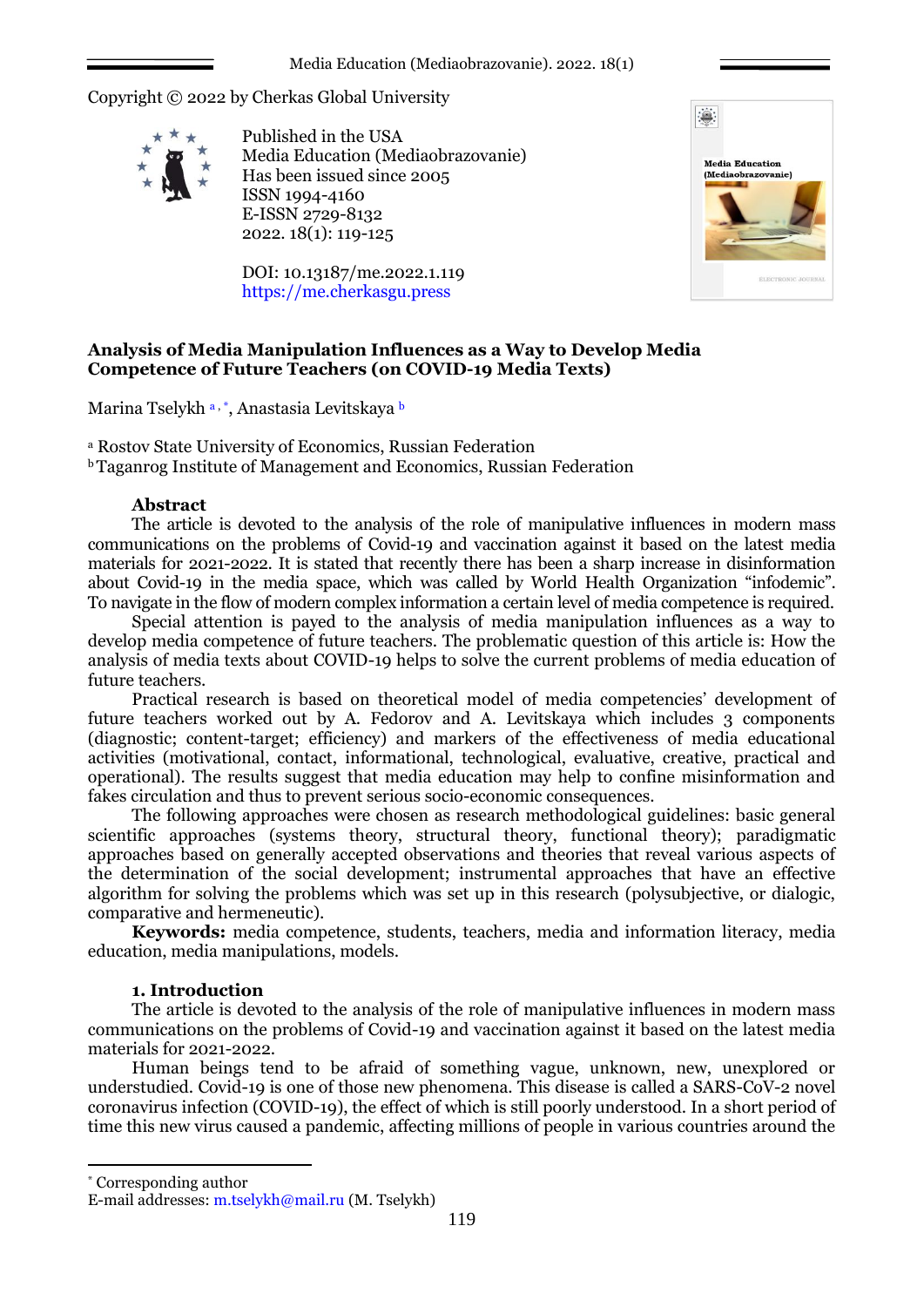Media Education (Mediaobrazovanie). 2022. 18(1)

Copyright © 2022 by Cherkas Global University



Published in the USA Media Education (Mediaobrazovanie) Has been issued since 2005 ISSN 1994-4160 E-ISSN 2729-8132 2022. 18(1): 119-125

DOI: 10.13187/me.2022.1.119 https://me.cherkasgu.press



# **Analysis of Media Manipulation Influences as a Way to Develop Media Competence of Future Teachers (on COVID-19 Media Texts)**

Marina Tselykh a, \*, Anastasia Levitskaya b

<sup>a</sup> Rostov State University of Economics, Russian Federation

<sup>b</sup>Taganrog Institute of Management and Economics, Russian Federation

### **Abstract**

The article is devoted to the analysis of the role of manipulative influences in modern mass communications on the problems of Covid-19 and vaccination against it based on the latest media materials for 2021-2022. It is stated that recently there has been a sharp increase in disinformation about Covid-19 in the media space, which was called by World Health Organization "infodemic". To navigate in the flow of modern complex information a certain level of media competence is required.

Special attention is payed to the analysis of media manipulation influences as a way to develop media competence of future teachers. The problematic question of this article is: How the analysis of media texts about COVID-19 helps to solve the current problems of media education of future teachers.

Practical research is based on theoretical model of media competencies' development of future teachers worked out by A. Fedorov and A. Levitskaya which includes 3 components (diagnostic; content-target; efficiency) and markers of the effectiveness of media educational activities (motivational, contact, informational, technological, evaluative, creative, practical and operational). The results suggest that media education may help to confine misinformation and fakes circulation and thus to prevent serious socio-economic consequences.

The following approaches were chosen as research methodological guidelines: basic general scientific approaches (systems theory, structural theory, functional theory); paradigmatic approaches based on generally accepted observations and theories that reveal various aspects of the determination of the social development; instrumental approaches that have an effective algorithm for solving the problems which was set up in this research (polysubjective, or dialogic, comparative and hermeneutic).

**Keywords:** media competence, students, teachers, media and information literacy, media education, media manipulations, models.

## **1. Introduction**

The article is devoted to the analysis of the role of manipulative influences in modern mass communications on the problems of Covid-19 and vaccination against it based on the latest media materials for 2021-2022.

Human beings tend to be afraid of something vague, unknown, new, unexplored or understudied. Covid-19 is one of those new phenomena. This disease is called a SARS-CoV-2 novel coronavirus infection (COVID-19), the effect of which is still poorly understood. In a short period of time this new virus caused a pandemic, affecting millions of people in various countries around the

1

<sup>\*</sup> Corresponding author

E-mail addresses: m.tselykh@mail.ru (M. Tselykh)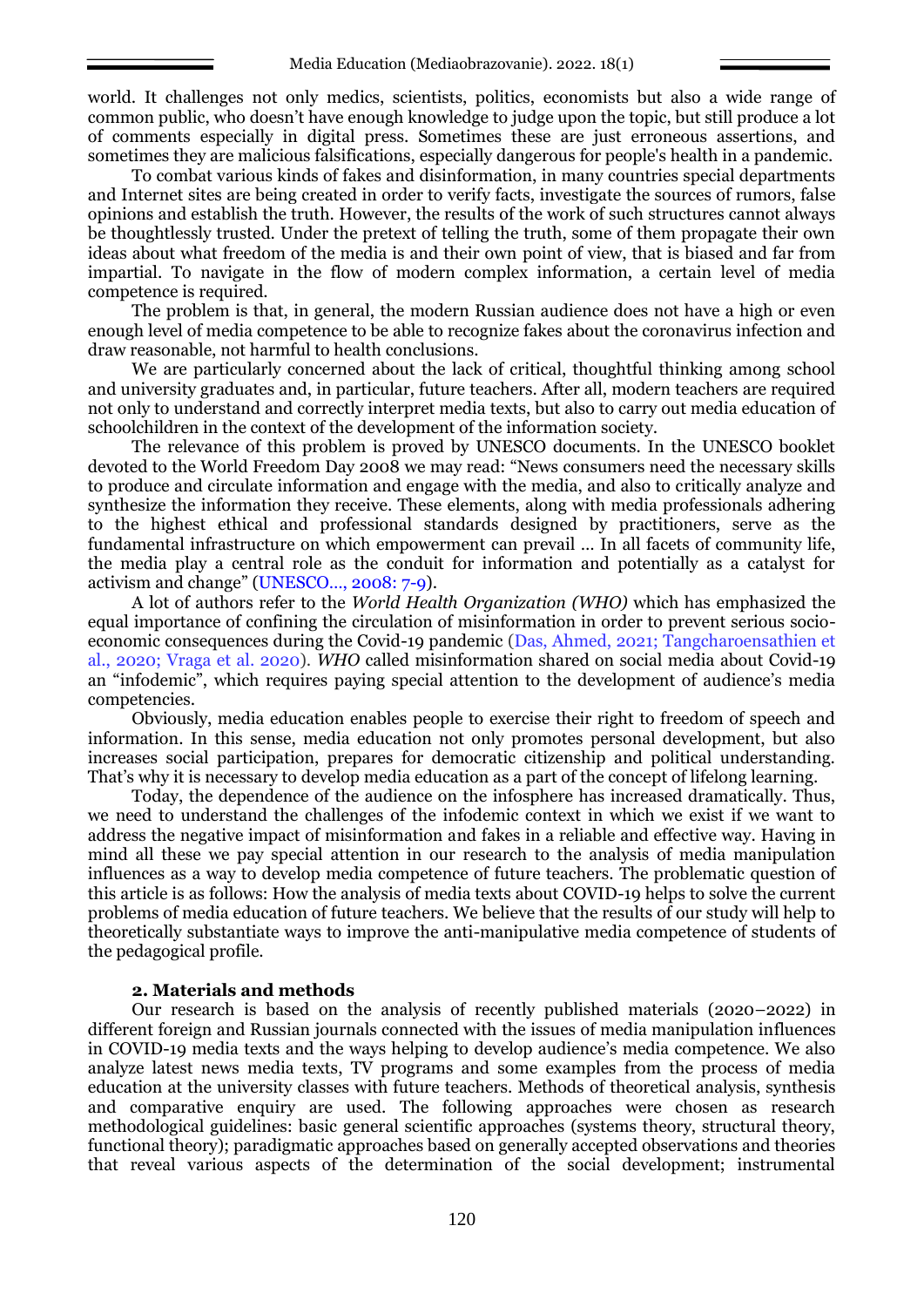world. It challenges not only medics, scientists, politics, economists but also a wide range of common public, who doesn't have enough knowledge to judge upon the topic, but still produce a lot of comments especially in digital press. Sometimes these are just erroneous assertions, and sometimes they are malicious falsifications, especially dangerous for people's health in a pandemic.

To combat various kinds of fakes and disinformation, in many countries special departments and Internet sites are being created in order to verify facts, investigate the sources of rumors, false opinions and establish the truth. However, the results of the work of such structures cannot always be thoughtlessly trusted. Under the pretext of telling the truth, some of them propagate their own ideas about what freedom of the media is and their own point of view, that is biased and far from impartial. To navigate in the flow of modern complex information, a certain level of media competence is required.

The problem is that, in general, the modern Russian audience does not have a high or even enough level of media competence to be able to recognize fakes about the coronavirus infection and draw reasonable, not harmful to health conclusions.

We are particularly concerned about the lack of critical, thoughtful thinking among school and university graduates and, in particular, future teachers. After all, modern teachers are required not only to understand and correctly interpret media texts, but also to carry out media education of schoolchildren in the context of the development of the information society.

The relevance of this problem is proved by UNESCO documents. In the UNESCO booklet devoted to the World Freedom Day 2008 we may read: "News consumers need the necessary skills to produce and circulate information and engage with the media, and also to critically analyze and synthesize the information they receive. These elements, along with media professionals adhering to the highest ethical and professional standards designed by practitioners, serve as the fundamental infrastructure on which empowerment can prevail … In all facets of community life, the media play a central role as the conduit for information and potentially as a catalyst for activism and change" (UNESCO…, 2008: 7-9).

A lot of authors refer to the *World Health Organization (WHO)* which has emphasized the equal importance of confining the circulation of misinformation in order to prevent serious socioeconomic consequences during the Covid-19 pandemic (Das, Ahmed, 2021; Tangcharoensathien et al., 2020; Vraga et al. 2020). *WHO* called misinformation shared on social media about Covid-19 an "infodemic", which requires paying special attention to the development of audience's media competencies.

Obviously, media education enables people to exercise their right to freedom of speech and information. In this sense, media education not only promotes personal development, but also increases social participation, prepares for democratic citizenship and political understanding. That's why it is necessary to develop media education as a part of the concept of lifelong learning.

Today, the dependence of the audience on the infosphere has increased dramatically. Thus, we need to understand the challenges of the infodemic context in which we exist if we want to address the negative impact of misinformation and fakes in a reliable and effective way. Having in mind all these we pay special attention in our research to the analysis of media manipulation influences as a way to develop media competence of future teachers. The problematic question of this article is as follows: How the analysis of media texts about COVID-19 helps to solve the current problems of media education of future teachers. We believe that the results of our study will help to theoretically substantiate ways to improve the anti-manipulative media competence of students of the pedagogical profile.

### **2. Materials and methods**

Our research is based on the analysis of recently published materials (2020–2022) in different foreign and Russian journals connected with the issues of media manipulation influences in COVID-19 media texts and the ways helping to develop audience's media competence. We also analyze latest news media texts, TV programs and some examples from the process of media education at the university classes with future teachers. Methods of theoretical analysis, synthesis and comparative enquiry are used. The following approaches were chosen as research methodological guidelines: basic general scientific approaches (systems theory, structural theory, functional theory); paradigmatic approaches based on generally accepted observations and theories that reveal various aspects of the determination of the social development; instrumental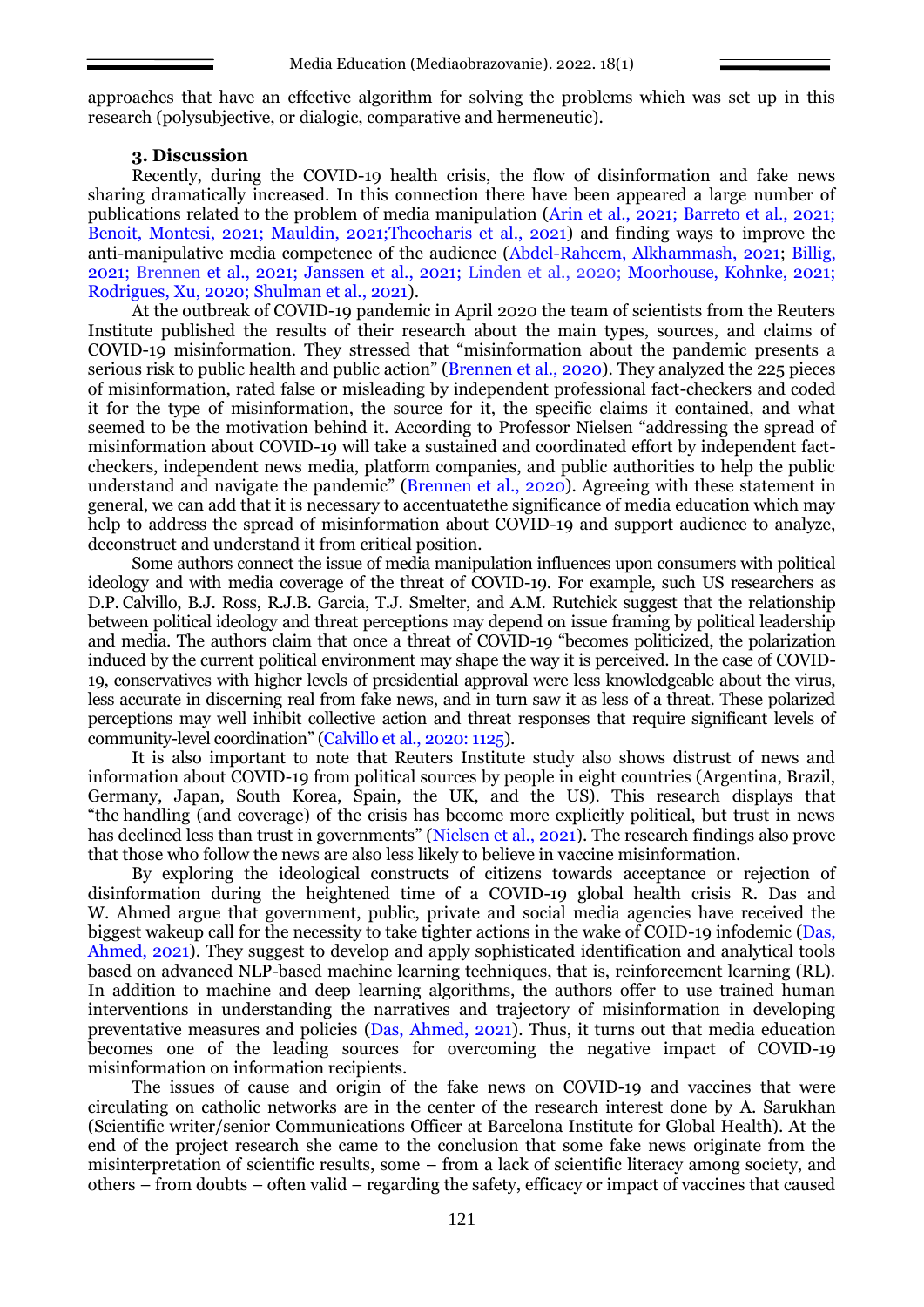approaches that have an effective algorithm for solving the problems which was set up in this research (polysubjective, or dialogic, comparative and hermeneutic).

#### **3. Discussion**

Recently, during the COVID-19 health crisis, the flow of disinformation and fake news sharing dramatically increased. In this connection there have been appeared a large number of publications related to the problem of media manipulation (Arin et al., 2021; Barreto et al., 2021; Benoit, Montesi, 2021; Mauldin, 2021; Theocharis et al., 2021) and finding ways to improve the anti-manipulative media competence of the audience (Abdel-Raheem, Alkhammash, 2021; Billig, 2021; Brennen et al., 2021; Janssen et al., 2021; Linden et al., 2020; Moorhouse, Kohnke, 2021; Rodrigues, Xu, 2020; Shulman et al., 2021).

At the outbreak of COVID-19 pandemic in April 2020 the team of scientists from the Reuters Institute published the results of their research about the main types, sources, and claims of COVID-19 misinformation. They stressed that "misinformation about the pandemic presents a serious risk to public health and public action" (Brennen et al., 2020). They analyzed the 225 pieces of misinformation, rated false or misleading by independent professional fact-checkers and coded it for the type of misinformation, the source for it, the specific claims it contained, and what seemed to be the motivation behind it. According to Professor Nielsen "addressing the spread of misinformation about COVID-19 will take a sustained and coordinated effort by independent factcheckers, independent news media, platform companies, and public authorities to help the public understand and navigate the pandemic" (Brennen et al., 2020). Agreeing with these statement in general, we can add that it is necessary to accentuatethe significance of media education which may help to address the spread of misinformation about COVID-19 and support audience to analyze, deconstruct and understand it from critical position.

Some authors connect the issue of media manipulation influences upon consumers with political ideology and with media coverage of the threat of COVID-19. For example, such US researchers as D.P. Calvillo, B.J. Ross, R.J.B. Garcia, T.J. Smelter, and A.M. Rutchick suggest that the relationship between political ideology and threat perceptions may depend on issue framing by political leadership and media. The authors claim that once a threat of COVID-19 "becomes politicized, the polarization induced by the current political environment may shape the way it is perceived. In the case of COVID-19, conservatives with higher levels of presidential approval were less knowledgeable about the virus, less accurate in discerning real from fake news, and in turn saw it as less of a threat. These polarized perceptions may well inhibit collective action and threat responses that require significant levels of community-level coordination" (Calvillo et al., 2020: 1125).

It is also important to note that Reuters Institute study also shows distrust of news and information about COVID-19 from political sources by people in eight countries (Argentina, Brazil, Germany, Japan, South Korea, Spain, the UK, and the US). This research displays that "the handling (and coverage) of the crisis has become more explicitly political, but trust in news has declined less than trust in governments" (Nielsen et al., 2021). The research findings also prove that those who follow the news are also less likely to believe in vaccine misinformation.

By exploring the ideological constructs of citizens towards acceptance or rejection of disinformation during the heightened time of a COVID-19 global health crisis R. Das and W. Ahmed argue that government, public, private and social media agencies have received the biggest wakeup call for the necessity to take tighter actions in the wake of COID-19 infodemic (Das, Ahmed, 2021). They suggest to develop and apply sophisticated identification and analytical tools based on advanced NLP-based machine learning techniques, that is, reinforcement learning (RL). In addition to machine and deep learning algorithms, the authors offer to use trained human interventions in understanding the narratives and trajectory of misinformation in developing preventative measures and policies (Das, Ahmed, 2021). Thus, it turns out that media education becomes one of the leading sources for overcoming the negative impact of COVID-19 misinformation on information recipients.

The issues of cause and origin of the fake news on COVID-19 and vaccines that were circulating on catholic networks are in the center of the research interest done by A. Sarukhan (Scientific writer/senior Communications Officer at Barcelona Institute for Global Health). At the end of the project research she came to the conclusion that some fake news originate from the misinterpretation of scientific results, some – from a lack of scientific literacy among society, and others – from doubts – often valid – regarding the safety, efficacy or impact of vaccines that caused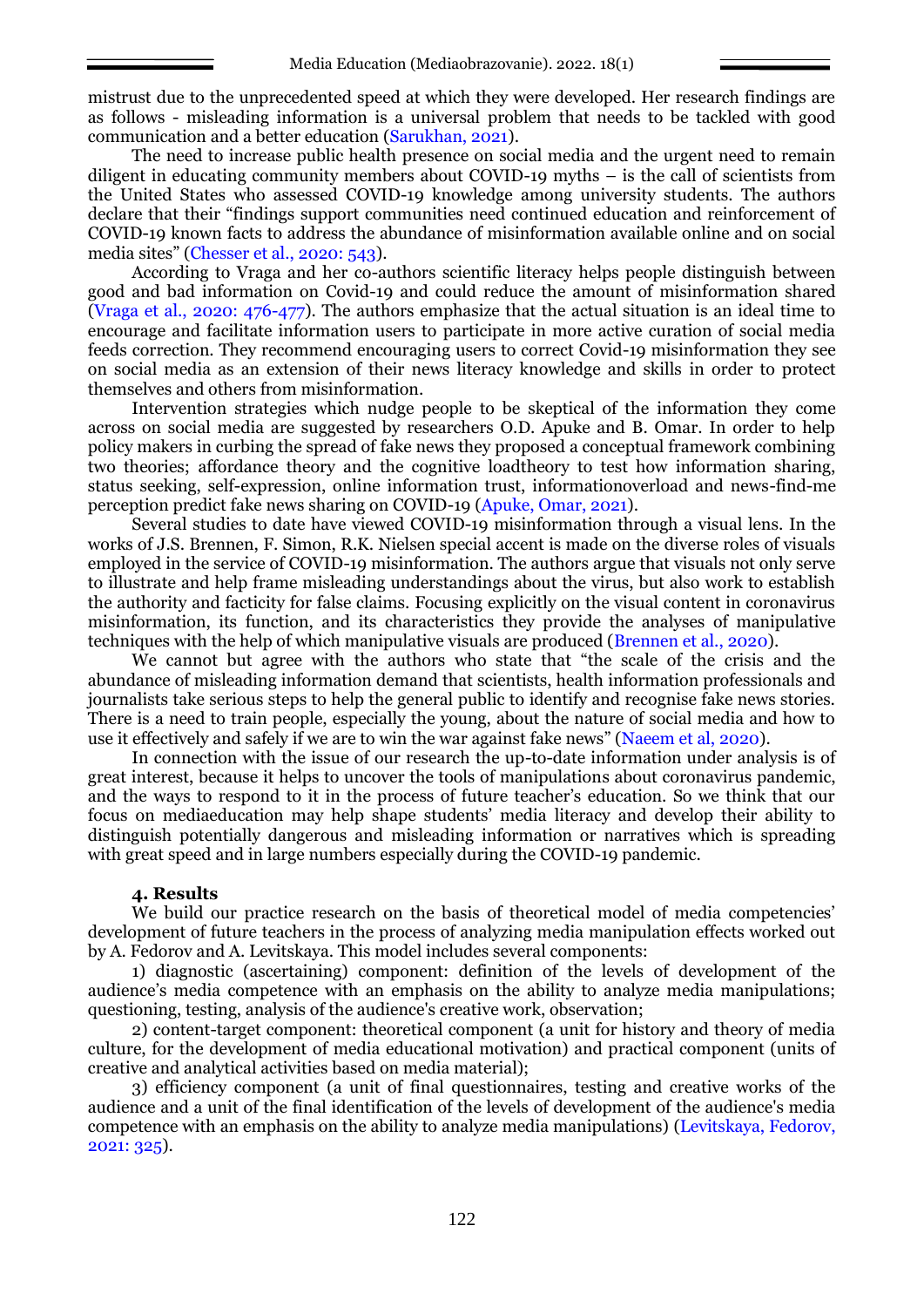mistrust due to the unprecedented speed at which they were developed. Her research findings are as follows - misleading information is a universal problem that needs to be tackled with good communication and a better education (Sarukhan, 2021).

The need to increase public health presence on social media and the urgent need to remain diligent in educating community members about COVID-19 myths – is the call of scientists from the United States who assessed COVID-19 knowledge among university students. The authors declare that their "findings support communities need continued education and reinforcement of COVID-19 known facts to address the abundance of misinformation available online and on social media sites" (Chesser et al., 2020: 543).

According to Vraga and her co-authors scientific literacy helps people distinguish between good and bad information on Covid-19 and could reduce the amount of misinformation shared (Vraga et al., 2020: 476-477). The authors emphasize that the actual situation is an ideal time to encourage and facilitate information users to participate in more active curation of social media feeds correction. They recommend encouraging users to correct Covid-19 misinformation they see on social media as an extension of their news literacy knowledge and skills in order to protect themselves and others from misinformation.

Intervention strategies which nudge people to be skeptical of the information they come across on social media are suggested by researchers O.D. Apuke and B. Omar. In order to help policy makers in curbing the spread of fake news they proposed a conceptual framework combining two theories; affordance theory and the cognitive loadtheory to test how information sharing, status seeking, self-expression, online information trust, informationoverload and news-find-me perception predict fake news sharing on COVID-19 (Apuke, Omar, 2021).

Several studies to date have viewed COVID-19 misinformation through a visual lens. In the works of J.S. Brennen, F. Simon, R.K. Nielsen special accent is made on the diverse roles of visuals employed in the service of COVID-19 misinformation. The authors argue that visuals not only serve to illustrate and help frame misleading understandings about the virus, but also work to establish the authority and facticity for false claims. Focusing explicitly on the visual content in coronavirus misinformation, its function, and its characteristics they provide the analyses of manipulative techniques with the help of which manipulative visuals are produced (Brennen et al., 2020).

We cannot but agree with the authors who state that "the scale of the crisis and the abundance of misleading information demand that scientists, health information professionals and journalists take serious steps to help the general public to identify and recognise fake news stories. There is a need to train people, especially the young, about the nature of social media and how to use it effectively and safely if we are to win the war against fake news" (Naeem et al, 2020).

In connection with the issue of our research the up-to-date information under analysis is of great interest, because it helps to uncover the tools of manipulations about coronavirus pandemic, and the ways to respond to it in the process of future teacher's education. So we think that our focus on mediaeducation may help shape students' media literacy and develop their ability to distinguish potentially dangerous and misleading information or narratives which is spreading with great speed and in large numbers especially during the COVID-19 pandemic.

# **4. Results**

We build our practice research on the basis of theoretical model of media competencies' development of future teachers in the process of analyzing media manipulation effects worked out by A. Fedorov and A. Levitskaya. This model includes several components:

1) diagnostic (ascertaining) component: definition of the levels of development of the audience's media competence with an emphasis on the ability to analyze media manipulations; questioning, testing, analysis of the audience's creative work, observation;

2) content-target component: theoretical component (a unit for history and theory of media culture, for the development of media educational motivation) and practical component (units of creative and analytical activities based on media material);

3) efficiency component (a unit of final questionnaires, testing and creative works of the audience and a unit of the final identification of the levels of development of the audience's media competence with an emphasis on the ability to analyze media manipulations) (Levitskaya, Fedorov, 2021: 325).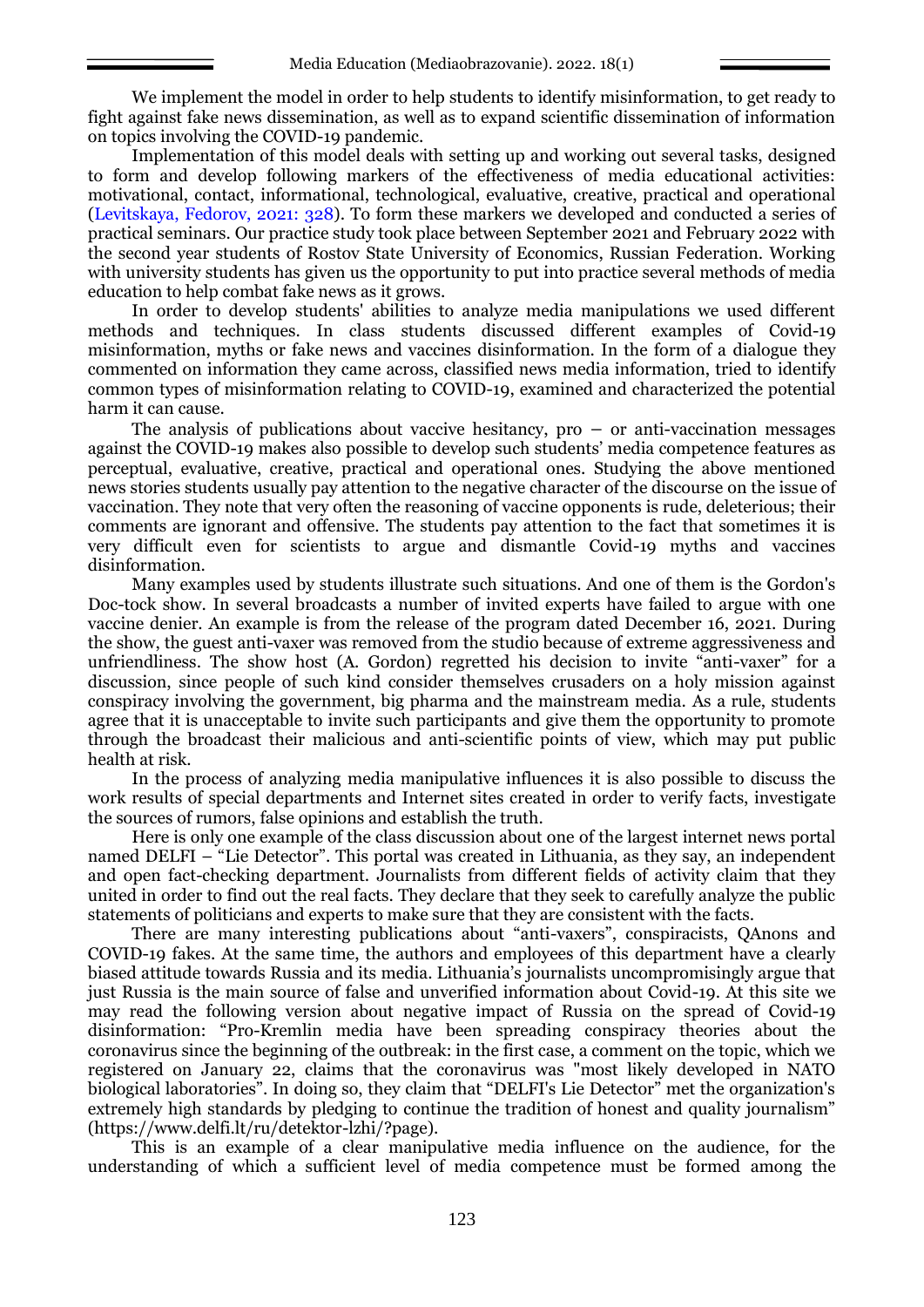We implement the model in order to help students to identify misinformation, to get ready to fight against fake news dissemination, as well as to expand scientific dissemination of information on topics involving the COVID-19 pandemic.

Implementation of this model deals with setting up and working out several tasks, designed to form and develop following markers of the effectiveness of media educational activities: motivational, contact, informational, technological, evaluative, creative, practical and operational (Levitskaya, Fedorov, 2021: 328). To form these markers we developed and conducted a series of practical seminars. Our practice study took place between September 2021 and February 2022 with the second year students of Rostov State University of Economics, Russian Federation. Working with university students has given us the opportunity to put into practice several methods of media education to help combat fake news as it grows.

In order to develop students' abilities to analyze media manipulations we used different methods and techniques. In class students discussed different examples of Covid-19 misinformation, myths or fake news and vaccines disinformation. In the form of a dialogue they commented on information they came across, classified news media information, tried to identify common types of misinformation relating to COVID-19, examined and characterized the potential harm it can cause.

The analysis of publications about vaccive hesitancy,  $pro - or$  anti-vaccination messages against the COVID-19 makes also possible to develop such students' media competence features as perceptual, evaluative, creative, practical and operational ones. Studying the above mentioned news stories students usually pay attention to the negative character of the discourse on the issue of vaccination. They note that very often the reasoning of vaccine opponents is rude, deleterious; their comments are ignorant and offensive. The students pay attention to the fact that sometimes it is very difficult even for scientists to argue and dismantle Covid-19 myths and vaccines disinformation.

Many examples used by students illustrate such situations. And one of them is the Gordon's Doc-tock show. In several broadcasts a number of invited experts have failed to argue with one vaccine denier. An example is from the release of the program dated December 16, 2021. During the show, the guest anti-vaxer was removed from the studio because of extreme aggressiveness and unfriendliness. The show host (A. Gordon) regretted his decision to invite "anti-vaxer" for a discussion, since people of such kind consider themselves crusaders on a holy mission against conspiracy involving the government, big pharma and the mainstream media. As a rule, students agree that it is unacceptable to invite such participants and give them the opportunity to promote through the broadcast their malicious and anti-scientific points of view, which may put public health at risk.

In the process of analyzing media manipulative influences it is also possible to discuss the work results of special departments and Internet sites created in order to verify facts, investigate the sources of rumors, false opinions and establish the truth.

Here is only one example of the class discussion about one of the largest internet news portal named DELFI – "Lie Detector". This portal was created in Lithuania, as they say, an independent and open fact-checking department. Journalists from different fields of activity claim that they united in order to find out the real facts. They declare that they seek to carefully analyze the public statements of politicians and experts to make sure that they are consistent with the facts.

There are many interesting publications about "anti-vaxers", conspiracists, QAnons and COVID-19 fakes. At the same time, the authors and employees of this department have a clearly biased attitude towards Russia and its media. Lithuania's journalists uncompromisingly argue that just Russia is the main source of false and unverified information about Covid-19. At this site we may read the following version about negative impact of Russia on the spread of Covid-19 disinformation: "Pro-Kremlin media have been spreading conspiracy theories about the coronavirus since the beginning of the outbreak: in the first case, a comment on the topic, which we registered on January 22, claims that the coronavirus was "most likely developed in NATO biological laboratories". In doing so, they claim that "DELFI's Lie Detector" met the organization's extremely high standards by pledging to continue the tradition of honest and quality journalism" [\(https://www.delfi.lt/ru/detektor-lzhi/?page\)](https://www.delfi.lt/ru/detektor-lzhi/?page).

This is an example of a clear manipulative media influence on the audience, for the understanding of which a sufficient level of media competence must be formed among the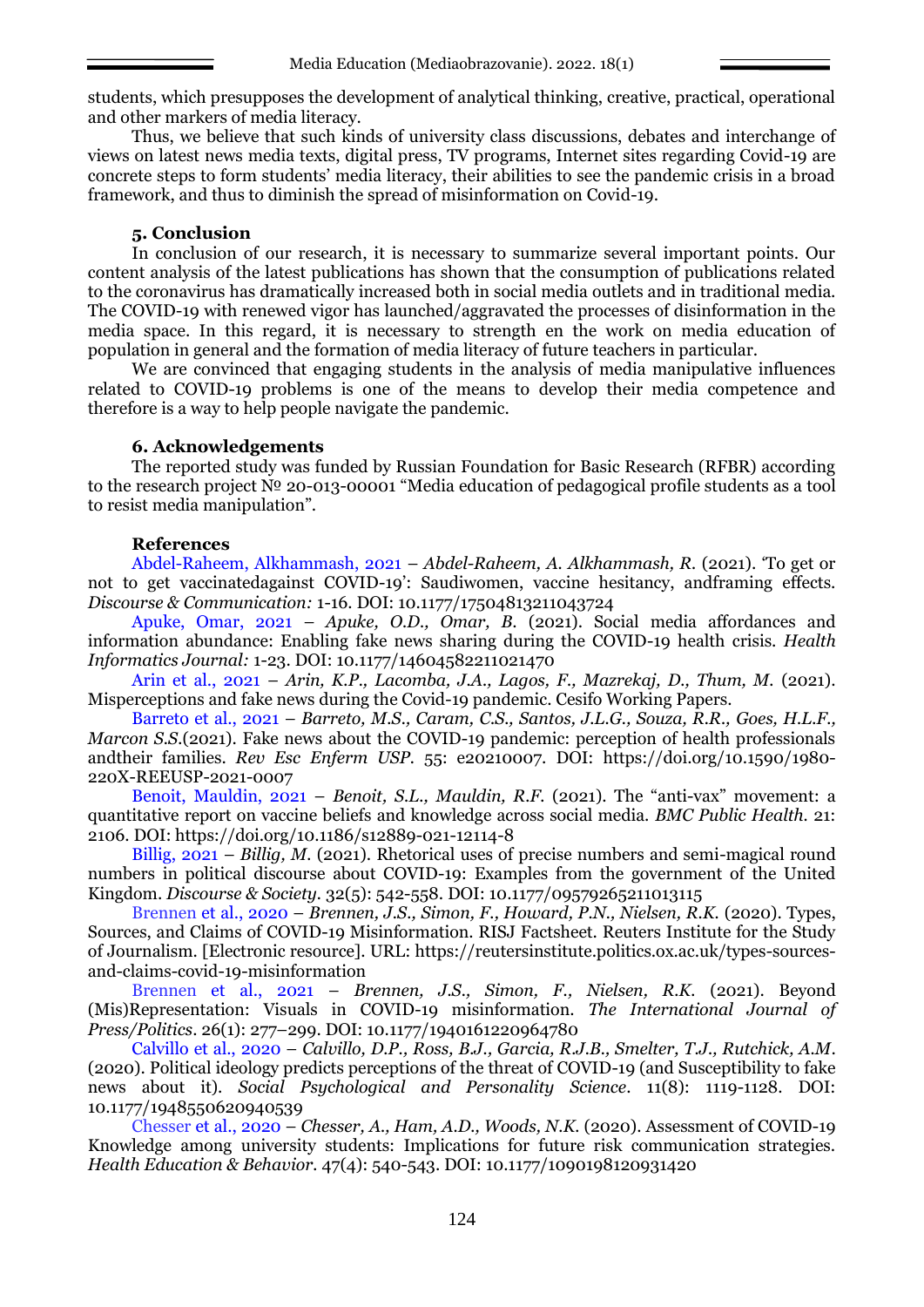students, which presupposes the development of analytical thinking, creative, practical, operational and other markers of media literacy.

Thus, we believe that such kinds of university class discussions, debates and interchange of views on latest news media texts, digital press, TV programs, Internet sites regarding Covid-19 are concrete steps to form students' media literacy, their abilities to see the pandemic crisis in a broad framework, and thus to diminish the spread of misinformation on Covid-19.

### **5. Conclusion**

In conclusion of our research, it is necessary to summarize several important points. Our content analysis of the latest publications has shown that the consumption of publications related to the coronavirus has dramatically increased both in social media outlets and in traditional media. The COVID-19 with renewed vigor has launched/aggravated the processes of disinformation in the media space. In this regard, it is necessary to strength en the work on media education of population in general and the formation of media literacy of future teachers in particular.

We are convinced that engaging students in the analysis of media manipulative influences related to COVID-19 problems is one of the means to develop their media competence and therefore is a way to help people navigate the pandemic.

### **6. Acknowledgements**

The reported study was funded by Russian Foundation for Basic Research (RFBR) according to the research project № 20-013-00001 "Media education of pedagogical profile students as a tool to resist media manipulation".

### **References**

Abdel-Raheem, Alkhammash, 2021 – *Abdel-Raheem, A. Alkhammash, R.* (2021). 'To get or not to get vaccinatedagainst COVID-19': Saudiwomen, vaccine hesitancy, andframing effects. *Discourse & Communication:* 1-16. DOI: 10.1177/17504813211043724

Apuke, Omar, 2021 – *Apuke, O.D., Omar, B*. (2021). Social media affordances and information abundance: Enabling fake news sharing during the COVID-19 health crisis. *Health Informatics Journal:* 1-23. DOI: 10.1177/14604582211021470

Arin et al., 2021 – *Arin, K.P., Lacomba, J.A., Lagos, F., Mazrekaj, D., Thum, M.* (2021). Misperceptions and fake news during the Covid-19 pandemic. Cesifo Working Papers.

Barreto et al., 2021 – *Barreto, M.S., Caram, C.S., Santos, J.L.G., Souza, R.R., Goes, H.L.F., Marcon S.S.*(2021). Fake news about the COVID-19 pandemic: perception of health professionals andtheir families. *Rev Esc Enferm USP.* 55: e20210007. DOI: https://doi.org/10.1590/1980- 220X-REEUSP-2021-0007

Benoit, Mauldin, 2021 – *Benoit, S.L., Mauldin, R.F.* (2021). The "anti-vax" movement: a quantitative report on vaccine beliefs and knowledge across social media. *BMC Public Health.* 21: 2106. DOI:<https://doi.org/10.1186/s12889-021-12114-8>

Billig, 2021 – *Billig, M.* (2021). Rhetorical uses of precise numbers and semi-magical round numbers in political discourse about COVID-19: Examples from the government of the United Kingdom. *Discourse & Society.* 32(5): 542-558. DOI: 10.1177/09579265211013115

Brennen et al., 2020 – *Brennen, J.S., Simon, F., Howard, P.N., Nielsen, R.K.* (2020). Types, Sources, and Claims of COVID-19 Misinformation. RISJ Factsheet. Reuters Institute for the Study of Journalism. [Electronic resource]. URL: [https://reutersinstitute.politics.ox.ac.uk/types-sources](https://reutersinstitute.politics.ox.ac.uk/types-sources-and-claims-covid-19-misinformation)[and-claims-covid-19-misinformation](https://reutersinstitute.politics.ox.ac.uk/types-sources-and-claims-covid-19-misinformation)

Brennen et al., 2021 – *Brennen, J.S., Simon, F., Nielsen, R.K.* (2021). Beyond (Mis)Representation: Visuals in COVID-19 misinformation. *The International Journal of Press/Politics*. 26(1): 277–299. DOI: 10.1177/1940161220964780

Calvillo et al., 2020 – *Calvillo, D.P., Ross, B.J., Garcia, R.J.B., Smelter, T.J., Rutchick, A.M*. (2020). Political ideology predicts perceptions of the threat of COVID-19 (and Susceptibility to fake news about it). *Social Psychological and Personality Science*. 11(8): 1119-1128. DOI: 10.1177/1948550620940539

Chesser et al., 2020 – *Chesser, A., Ham, A.D., Woods, N.K.* (2020). Assessment of COVID-19 Knowledge among university students: Implications for future risk communication strategies. *Health Education & Behavior.* 47(4): 540-543. DOI: 10.1177/1090198120931420